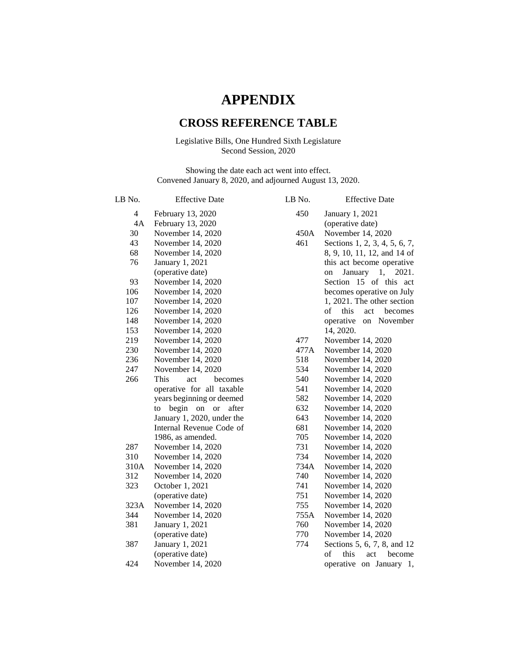# **APPENDIX**

## **CROSS REFERENCE TABLE**

## Legislative Bills, One Hundred Sixth Legislature Second Session, 2020

Showing the date each act went into effect. Convened January 8, 2020, and adjourned August 13, 2020.

| LB No. | <b>Effective Date</b>         | LB No. | <b>Effective Date</b>         |
|--------|-------------------------------|--------|-------------------------------|
| 4      | February 13, 2020             | 450    | January 1, 2021               |
| 4A     | February 13, 2020             |        | (operative date)              |
| 30     | November 14, 2020             | 450A   | November 14, 2020             |
| 43     | November 14, 2020             | 461    | Sections 1, 2, 3, 4, 5, 6, 7, |
| 68     | November 14, 2020             |        | 8, 9, 10, 11, 12, and 14 of   |
| 76     | January 1, 2021               |        | this act become operative     |
|        | (operative date)              |        | January 1,<br>2021.<br>on     |
| 93     | November 14, 2020             |        | Section 15 of this act        |
| 106    | November 14, 2020             |        | becomes operative on July     |
| 107    | November 14, 2020             |        | 1, 2021. The other section    |
| 126    | November 14, 2020             |        | of<br>this<br>act<br>becomes  |
| 148    | November 14, 2020             |        | operative<br>on November      |
| 153    | November 14, 2020             |        | 14, 2020.                     |
| 219    | November 14, 2020             | 477    | November 14, 2020             |
| 230    | November 14, 2020             | 477A   | November 14, 2020             |
| 236    | November 14, 2020             | 518    | November 14, 2020             |
| 247    | November 14, 2020             | 534    | November 14, 2020             |
| 266    | <b>This</b><br>act<br>becomes | 540    | November 14, 2020             |
|        | operative for all taxable     | 541    | November 14, 2020             |
|        | years beginning or deemed     | 582    | November 14, 2020             |
|        | begin on or<br>after<br>to    | 632    | November 14, 2020             |
|        | January 1, 2020, under the    | 643    | November 14, 2020             |
|        | Internal Revenue Code of      | 681    | November 14, 2020             |
|        | 1986, as amended.             | 705    | November 14, 2020             |
| 287    | November 14, 2020             | 731    | November 14, 2020             |
| 310    | November 14, 2020             | 734    | November 14, 2020             |
| 310A   | November 14, 2020             | 734A   | November 14, 2020             |
| 312    | November 14, 2020             | 740    | November 14, 2020             |
| 323    | October 1, 2021               | 741    | November 14, 2020             |
|        | (operative date)              | 751    | November 14, 2020             |
| 323A   | November 14, 2020             | 755    | November 14, 2020             |
| 344    | November 14, 2020             | 755A   | November 14, 2020             |
| 381    | January 1, 2021               | 760    | November 14, 2020             |
|        | (operative date)              | 770    | November 14, 2020             |
| 387    | January 1, 2021               | 774    | Sections 5, 6, 7, 8, and 12   |
|        | (operative date)              |        | of<br>this<br>act<br>become   |
| 424    | November 14, 2020             |        | operative on January 1,       |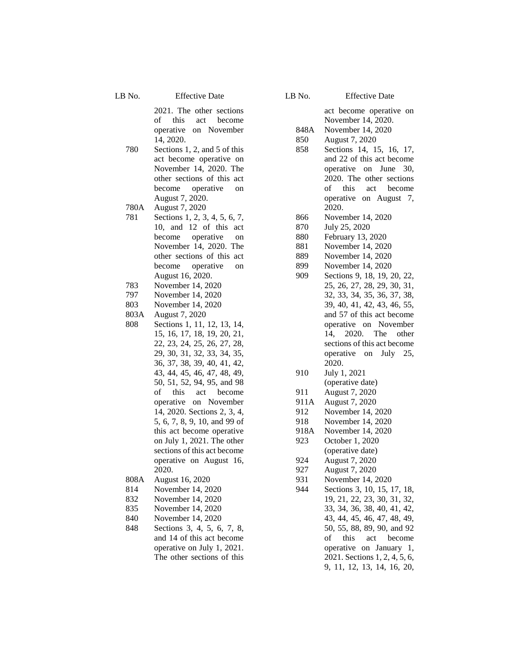LB No. Effective Date

2021. The other sections of this act become operative on November 14, 2020.

780 Sections 1, 2, and 5 of this act become operative on November 14, 2020. The other sections of this act become operative on August 7, 2020.

780A August 7, 2020

- 781 Sections 1, 2, 3, 4, 5, 6, 7, 10, and 12 of this act become operative on November 14, 2020. The other sections of this act become operative on August 16, 2020.
- 783 November 14, 2020
- 797 November 14, 2020
- 803 November 14, 2020
- 803A August 7, 2020
- 808 Sections 1, 11, 12, 13, 14, 15, 16, 17, 18, 19, 20, 21, 22, 23, 24, 25, 26, 27, 28, 29, 30, 31, 32, 33, 34, 35, 36, 37, 38, 39, 40, 41, 42, 43, 44, 45, 46, 47, 48, 49, 50, 51, 52, 94, 95, and 98 of this act become operative on November 14, 2020. Sections 2, 3, 4, 5, 6, 7, 8, 9, 10, and 99 of this act become operative on July 1, 2021. The other sections of this act become operative on August 16, 2020.
- 808A August 16, 2020
- 814 November 14, 2020
- 832 November 14, 2020
- 835 November 14, 2020
- 840 November 14, 2020
- 848 Sections 3, 4, 5, 6, 7, 8, and 14 of this act become operative on July 1, 2021. The other sections of this

### LB No. Effective Date

act become operative on November 14, 2020. 848A November 14, 2020 850 August 7, 2020 858 Sections 14, 15, 16, 17, and 22 of this act become operative on June 30, 2020. The other sections of this act become operative on August 7, 2020. 866 November 14, 2020 870 July 25, 2020 880 February 13, 2020 881 November 14, 2020 889 November 14, 2020 899 November 14, 2020 909 Sections 9, 18, 19, 20, 22, 25, 26, 27, 28, 29, 30, 31, 32, 33, 34, 35, 36, 37, 38, 39, 40, 41, 42, 43, 46, 55, and 57 of this act become operative on November 14, 2020. The other sections of this act become operative on July 25, 2020. 910 July 1, 2021 (operative date) 911 August 7, 2020 911A August 7, 2020 912 November 14, 2020 918 November 14, 2020 918A November 14, 2020 923 October 1, 2020 (operative date) 924 August 7, 2020 927 August 7, 2020 931 November 14, 2020 944 Sections 3, 10, 15, 17, 18, 19, 21, 22, 23, 30, 31, 32, 33, 34, 36, 38, 40, 41, 42, 43, 44, 45, 46, 47, 48, 49, 50, 55, 88, 89, 90, and 92 of this act become operative on January 1, 2021. Sections 1, 2, 4, 5, 6, 9, 11, 12, 13, 14, 16, 20,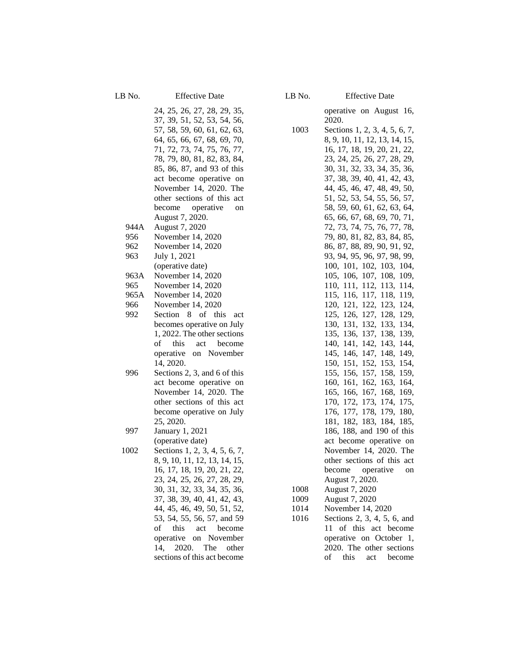24, 25, 26, 27, 28, 29, 35, 37, 39, 51, 52, 53, 54, 56, 57, 58, 59, 60, 61, 62, 63, 64, 65, 66, 67, 68, 69, 70, 71, 72, 73, 74, 75, 76, 77, 78, 79, 80, 81, 82, 83, 84, 85, 86, 87, and 93 of this act become operative on November 14, 2020. The other sections of this act become operative on August 7, 2020. 944A August 7, 2020 956 November 14, 2020 962 November 14, 2020 963 July 1, 2021 (operative date) 963A November 14, 2020 965 November 14, 2020 965A November 14, 2020 966 November 14, 2020 992 Section 8 of this act becomes operative on July 1, 2022. The other sections of this act become operative on November 14, 2020. 996 Sections 2, 3, and 6 of this act become operative on November 14, 2020. The other sections of this act become operative on July 25, 2020. 997 January 1, 2021 (operative date) 1002 Sections 1, 2, 3, 4, 5, 6, 7, 8, 9, 10, 11, 12, 13, 14, 15, 16, 17, 18, 19, 20, 21, 22, 23, 24, 25, 26, 27, 28, 29, 30, 31, 32, 33, 34, 35, 36, 37, 38, 39, 40, 41, 42, 43, 44, 45, 46, 49, 50, 51, 52, 53, 54, 55, 56, 57, and 59 of this act become operative on November 14, 2020. The other sections of this act become

LB No. Effective Date

operative on August 16, 2020.

| 1003 | Sections 1, 2, 3, 4, 5, 6, 7,                             |  |  |  |  |
|------|-----------------------------------------------------------|--|--|--|--|
|      | 8, 9, 10, 11, 12, 13, 14, 15,                             |  |  |  |  |
|      | 16, 17, 18, 19, 20, 21, 22,                               |  |  |  |  |
|      |                                                           |  |  |  |  |
|      | 23, 24, 25, 26, 27, 28, 29,                               |  |  |  |  |
|      | 30, 31, 32, 33, 34, 35, 36,                               |  |  |  |  |
|      | 37, 38, 39, 40, 41, 42, 43,                               |  |  |  |  |
|      | 44, 45, 46, 47, 48, 49, 50,                               |  |  |  |  |
|      | 51, 52, 53, 54, 55, 56, 57,                               |  |  |  |  |
|      |                                                           |  |  |  |  |
|      | 58, 59, 60, 61, 62, 63, 64,                               |  |  |  |  |
|      | 65, 66, 67, 68, 69, 70, 71,                               |  |  |  |  |
|      | 72, 73, 74, 75, 76, 77, 78,                               |  |  |  |  |
|      | 79, 80, 81, 82, 83, 84, 85,                               |  |  |  |  |
|      | 86, 87, 88, 89, 90, 91, 92,                               |  |  |  |  |
|      | 93, 94, 95, 96, 97, 98, 99,                               |  |  |  |  |
|      |                                                           |  |  |  |  |
|      | 100, 101, 102, 103, 104, 105, 106, 107, 108, 109,         |  |  |  |  |
|      |                                                           |  |  |  |  |
|      | 110, 111, 112,<br>113, 114,                               |  |  |  |  |
|      | 115, 116, 117, 118, 119,                                  |  |  |  |  |
|      | 120, 121, 122, 123, 124,                                  |  |  |  |  |
|      | 128, 129,<br>125, 126, 127,                               |  |  |  |  |
|      | 130, 131, 132,<br>133, 134,                               |  |  |  |  |
|      | 135,                                                      |  |  |  |  |
|      | 136, 137, 138, 139, 141, 142, 143, 144,<br>140, 141, 142, |  |  |  |  |
|      |                                                           |  |  |  |  |
|      | 145, 146, 147,<br>148, 149,                               |  |  |  |  |
|      | 150, 151, 152, 153, 154, 155, 156, 157, 158, 159,         |  |  |  |  |
|      |                                                           |  |  |  |  |
|      | 160, 161, 162,<br>163, 164,                               |  |  |  |  |
|      |                                                           |  |  |  |  |
|      | 165, 166, 167, 168, 169, 170, 172, 173, 174, 175,         |  |  |  |  |
|      | 176, 177, 178,<br>179,<br>180,                            |  |  |  |  |
|      |                                                           |  |  |  |  |
|      | 181, 182, 183, 184, 185,                                  |  |  |  |  |
|      | 186, 188, and 190 of this                                 |  |  |  |  |
|      | act become operative on                                   |  |  |  |  |
|      | November 14, 2020. The                                    |  |  |  |  |
|      | other sections of this act                                |  |  |  |  |
|      | become operative on                                       |  |  |  |  |
|      | August 7, 2020.                                           |  |  |  |  |
|      |                                                           |  |  |  |  |
| 1008 | August 7, 2020                                            |  |  |  |  |
| 1009 | August 7, 2020                                            |  |  |  |  |
| 1014 | November 14, 2020                                         |  |  |  |  |
| 1016 | Sections 2, 3, 4, 5, 6, and                               |  |  |  |  |
|      | of this act become<br>11                                  |  |  |  |  |
|      | operative on October 1,                                   |  |  |  |  |
|      | 2020. The other sections                                  |  |  |  |  |

of this act become